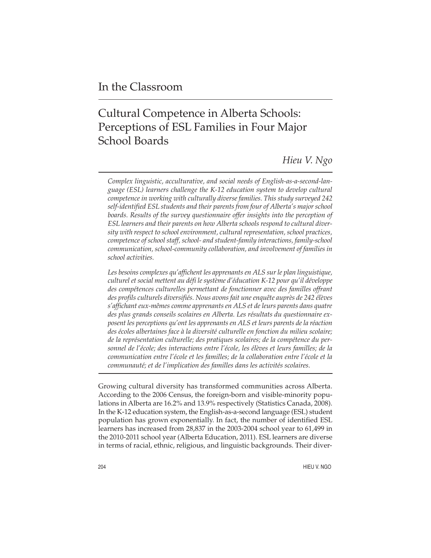# Cultural Competence in Alberta Schools: Perceptions of ESL Families in Four Major School Boards

*Hieu V. Ngo*

*Complex linguistic, acculturative, and social needs of English-as-a-second-language (ESL) learners challenge the K-12 education system to develop cultural competence in working with culturally diverse families. This study surveyed 242 self-identified ESL students and their parents from four of Alberta's major school boards. Results of the survey questionnaire offer insights into the perception of ESL learners and their parents on how Alberta schools respond to cultural diversity with respect to school environment, cultural representation, school practices, competence of school staff, school- and student-family interactions, family-school communication, school-community collaboration, and involvement of families in school activities.*

*Les besoins complexes qu'affichent les apprenants en ALS sur le plan linguistique, culturel et social mettent au défi le système d'éducation K-12 pour qu'il développe des compétences culturelles permettant de fonctionner avec des familles offrant des profils culturels diversifiés. Nous avons fait une enquête auprès de 242 élèves s'affichant eux-mêmes comme apprenants en ALS et de leurs parents dans quatre des plus grands conseils scolaires en Alberta. Les résultats du questionnaire exposent les perceptions qu'ont les apprenants en ALS et leurs parents de la réaction des écoles albertaines face à la diversité culturelle en fonction du milieu scolaire; de la représentation culturelle; des pratiques scolaires; de la compétence du personnel de l'école; des interactions entre l'école, les élèves et leurs familles; de la communication entre l'école et les familles; de la collaboration entre l'école et la communauté; et de l'implication des familles dans les activités scolaires.*

Growing cultural diversity has transformed communities across Alberta. According to the 2006 Census, the foreign-born and visible-minority populations in Alberta are 16.2% and 13.9% respectively (Statistics Canada, 2008). In the K-12 education system, the English-as-a-second language (ESL) student population has grown exponentially. In fact, the number of identified ESL learners has increased from 28,837 in the 2003-2004 school year to 61,499 in the 2010-2011 school year (Alberta Education, 2011). ESL learners are diverse in terms of racial, ethnic, religious, and linguistic backgrounds. Their diver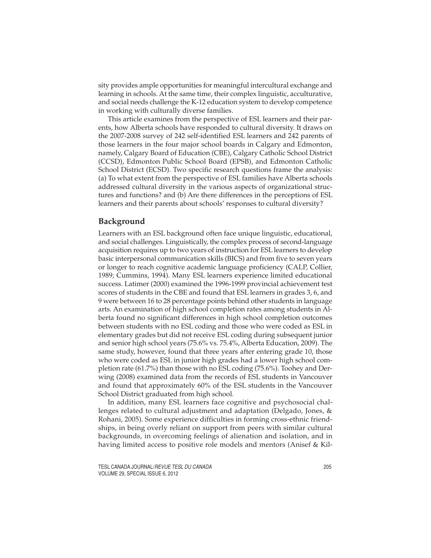sity provides ample opportunities for meaningful intercultural exchange and learning in schools. At the same time, their complex linguistic, acculturative, and social needs challenge the K-12 education system to develop competence in working with culturally diverse families.

This article examines from the perspective of ESL learners and their parents, how Alberta schools have responded to cultural diversity. It draws on the 2007-2008 survey of 242 self-identified ESL learners and 242 parents of those learners in the four major school boards in Calgary and Edmonton, namely, Calgary Board of Education (CBE), Calgary Catholic School District (CCSD), Edmonton Public School Board (EPSB), and Edmonton Catholic School District (ECSD). Two specific research questions frame the analysis: (a) To what extent from the perspective of ESL families have Alberta schools addressed cultural diversity in the various aspects of organizational structures and functions? and (b) Are there differences in the perceptions of ESL learners and their parents about schools' responses to cultural diversity?

#### **Background**

Learners with an ESL background often face unique linguistic, educational, and social challenges. Linguistically, the complex process of second-language acquisition requires up to two years of instruction for ESL learners to develop basic interpersonal communication skills (BICS) and from five to seven years or longer to reach cognitive academic language proficiency (CALP, Collier, 1989; Cummins, 1994). Many ESL learners experience limited educational success. Latimer (2000) examined the 1996-1999 provincial achievement test scores of students in the CBE and found that ESL learners in grades 3, 6, and 9 were between 16 to 28 percentage points behind other students in language arts. An examination of high school completion rates among students in Alberta found no significant differences in high school completion outcomes between students with no ESL coding and those who were coded as ESL in elementary grades but did not receive ESL coding during subsequent junior and senior high school years (75.6% vs. 75.4%, Alberta Education, 2009). The same study, however, found that three years after entering grade 10, those who were coded as ESL in junior high grades had a lower high school completion rate (61.7%) than those with no ESL coding (75.6%). Toohey and Derwing (2008) examined data from the records of ESL students in Vancouver and found that approximately 60% of the ESL students in the Vancouver School District graduated from high school.

In addition, many ESL learners face cognitive and psychosocial challenges related to cultural adjustment and adaptation (Delgado, Jones, & Rohani, 2005). Some experience difficulties in forming cross-ethnic friendships, in being overly reliant on support from peers with similar cultural backgrounds, in overcoming feelings of alienation and isolation, and in having limited access to positive role models and mentors (Anisef & Kil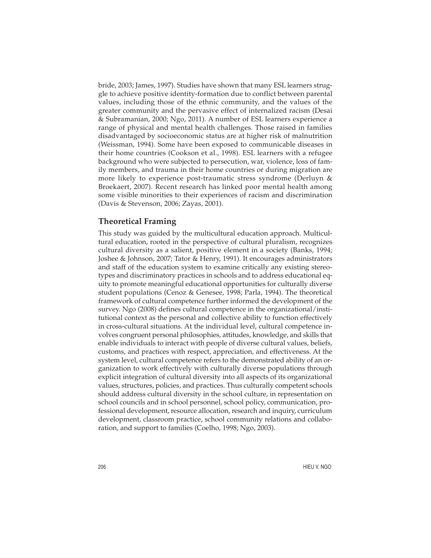bride, 2003; James, 1997). Studies have shown that many ESL learners struggle to achieve positive identity-formation due to conflict between parental values, including those of the ethnic community, and the values of the greater community and the pervasive effect of internalized racism (Desai & Subramanian, 2000; Ngo, 2011). A number of ESL learners experience a range of physical and mental health challenges. Those raised in families disadvantaged by socioeconomic status are at higher risk of malnutrition (Weissman, 1994). Some have been exposed to communicable diseases in their home countries (Cookson et al., 1998). ESL learners with a refugee background who were subjected to persecution, war, violence, loss of family members, and trauma in their home countries or during migration are more likely to experience post-traumatic stress syndrome (Derluyn & Broekaert, 2007). Recent research has linked poor mental health among some visible minorities to their experiences of racism and discrimination (Davis & Stevenson, 2006; Zayas, 2001).

# **Theoretical Framing**

This study was guided by the multicultural education approach. Multicultural education, rooted in the perspective of cultural pluralism, recognizes cultural diversity as a salient, positive element in a society (Banks, 1994; Joshee & Johnson, 2007; Tator & Henry, 1991). It encourages administrators and staff of the education system to examine critically any existing stereotypes and discriminatory practices in schools and to address educational equity to promote meaningful educational opportunities for culturally diverse student populations (Cenoz & Genesee, 1998; Parla, 1994). The theoretical framework of cultural competence further informed the development of the survey. Ngo (2008) defines cultural competence in the organizational/institutional context as the personal and collective ability to function effectively in cross-cultural situations. At the individual level, cultural competence involves congruent personal philosophies, attitudes, knowledge, and skills that enable individuals to interact with people of diverse cultural values, beliefs, customs, and practices with respect, appreciation, and effectiveness. At the system level, cultural competence refers to the demonstrated ability of an organization to work effectively with culturally diverse populations through explicit integration of cultural diversity into all aspects of its organizational values, structures, policies, and practices. Thus culturally competent schools should address cultural diversity in the school culture, in representation on school councils and in school personnel, school policy, communication, professional development, resource allocation, research and inquiry, curriculum development, classroom practice, school community relations and collaboration, and support to families (Coelho, 1998; Ngo, 2003).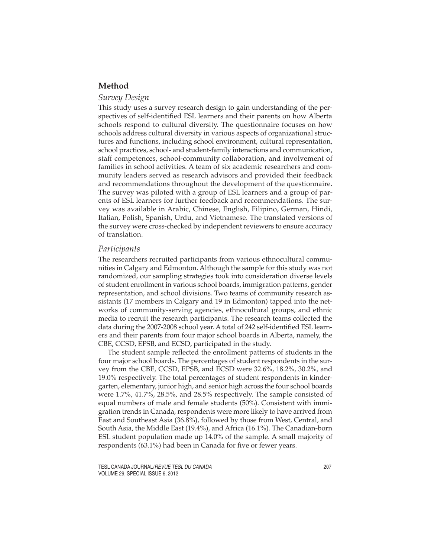# **Method**

## *Survey Design*

This study uses a survey research design to gain understanding of the perspectives of self-identified ESL learners and their parents on how Alberta schools respond to cultural diversity. The questionnaire focuses on how schools address cultural diversity in various aspects of organizational structures and functions, including school environment, cultural representation, school practices, school- and student-family interactions and communication, staff competences, school-community collaboration, and involvement of families in school activities. A team of six academic researchers and community leaders served as research advisors and provided their feedback and recommendations throughout the development of the questionnaire. The survey was piloted with a group of ESL learners and a group of parents of ESL learners for further feedback and recommendations. The survey was available in Arabic, Chinese, English, Filipino, German, Hindi, Italian, Polish, Spanish, Urdu, and Vietnamese. The translated versions of the survey were cross-checked by independent reviewers to ensure accuracy of translation.

#### *Participants*

The researchers recruited participants from various ethnocultural communities in Calgary and Edmonton. Although the sample for this study was not randomized, our sampling strategies took into consideration diverse levels of student enrollment in various school boards, immigration patterns, gender representation, and school divisions. Two teams of community research assistants (17 members in Calgary and 19 in Edmonton) tapped into the networks of community-serving agencies, ethnocultural groups, and ethnic media to recruit the research participants. The research teams collected the data during the 2007-2008 school year. A total of 242 self-identified ESL learners and their parents from four major school boards in Alberta, namely, the CBE, CCSD, EPSB, and ECSD, participated in the study.

The student sample reflected the enrollment patterns of students in the four major school boards. The percentages of student respondents in the survey from the CBE, CCSD, EPSB, and ECSD were 32.6%, 18.2%, 30.2%, and 19.0% respectively. The total percentages of student respondents in kindergarten, elementary, junior high, and senior high across the four school boards were 1.7%, 41.7%, 28.5%, and 28.5% respectively. The sample consisted of equal numbers of male and female students (50%). Consistent with immigration trends in Canada, respondents were more likely to have arrived from East and Southeast Asia (36.8%), followed by those from West, Central, and South Asia, the Middle East (19.4%), and Africa (16.1%). The Canadian-born ESL student population made up 14.0% of the sample. A small majority of respondents (63.1%) had been in Canada for five or fewer years.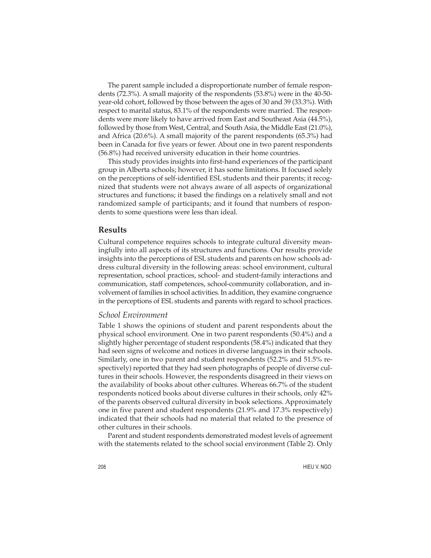The parent sample included a disproportionate number of female respondents (72.3%). A small majority of the respondents (53.8%) were in the 40-50 year-old cohort, followed by those between the ages of 30 and 39 (33.3%). With respect to marital status, 83.1% of the respondents were married. The respondents were more likely to have arrived from East and Southeast Asia (44.5%), followed by those from West, Central, and South Asia, the Middle East (21.0%), and Africa (20.6%). A small majority of the parent respondents (65.3%) had been in Canada for five years or fewer. About one in two parent respondents (56.8%) had received university education in their home countries.

This study provides insights into first-hand experiences of the participant group in Alberta schools; however, it has some limitations. It focused solely on the perceptions of self-identified ESL students and their parents; it recognized that students were not always aware of all aspects of organizational structures and functions; it based the findings on a relatively small and not randomized sample of participants; and it found that numbers of respondents to some questions were less than ideal.

## **Results**

Cultural competence requires schools to integrate cultural diversity meaningfully into all aspects of its structures and functions. Our results provide insights into the perceptions of ESL students and parents on how schools address cultural diversity in the following areas: school environment, cultural representation, school practices, school- and student-family interactions and communication, staff competences, school-community collaboration, and involvement of families in school activities. In addition, they examine congruence in the perceptions of ESL students and parents with regard to school practices.

#### *School Environment*

Table 1 shows the opinions of student and parent respondents about the physical school environment. One in two parent respondents (50.4%) and a slightly higher percentage of student respondents (58.4%) indicated that they had seen signs of welcome and notices in diverse languages in their schools. Similarly, one in two parent and student respondents (52.2% and 51.5% respectively) reported that they had seen photographs of people of diverse cultures in their schools. However, the respondents disagreed in their views on the availability of books about other cultures. Whereas 66.7% of the student respondents noticed books about diverse cultures in their schools, only 42% of the parents observed cultural diversity in book selections. Approximately one in five parent and student respondents (21.9% and 17.3% respectively) indicated that their schools had no material that related to the presence of other cultures in their schools.

Parent and student respondents demonstrated modest levels of agreement with the statements related to the school social environment (Table 2). Only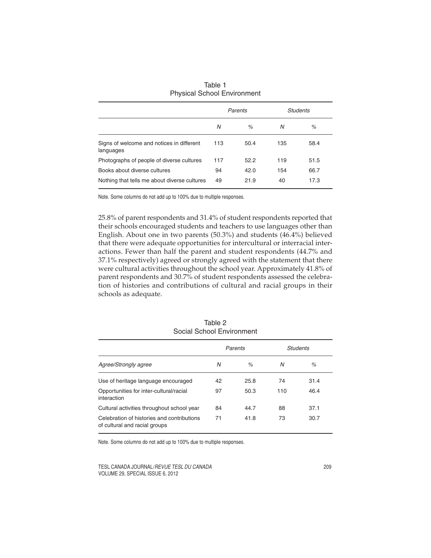|                                                        | Parents |      |     | Students |
|--------------------------------------------------------|---------|------|-----|----------|
|                                                        | N       | $\%$ | N   | $\%$     |
| Signs of welcome and notices in different<br>languages | 113     | 50.4 | 135 | 58.4     |
| Photographs of people of diverse cultures              | 117     | 52.2 | 119 | 51.5     |
| Books about diverse cultures                           | 94      | 42.0 | 154 | 66.7     |
| Nothing that tells me about diverse cultures           | 49      | 21.9 | 40  | 17.3     |

| Table 1                            |  |
|------------------------------------|--|
| <b>Physical School Environment</b> |  |

25.8% of parent respondents and 31.4% of student respondents reported that their schools encouraged students and teachers to use languages other than English. About one in two parents (50.3%) and students (46.4%) believed that there were adequate opportunities for intercultural or interracial interactions. Fewer than half the parent and student respondents (44.7% and 37.1% respectively) agreed or strongly agreed with the statement that there were cultural activities throughout the school year. Approximately 41.8% of parent respondents and 30.7% of student respondents assessed the celebration of histories and contributions of cultural and racial groups in their schools as adequate.

|                                                                             | Parents |      |     | Students |
|-----------------------------------------------------------------------------|---------|------|-----|----------|
| Agree/Strongly agree                                                        | Ν       | $\%$ | N   | $\%$     |
| Use of heritage language encouraged                                         | 42      | 25.8 | 74  | 31.4     |
| Opportunities for inter-cultural/racial<br>interaction                      | 97      | 50.3 | 110 | 46.4     |
| Cultural activities throughout school year                                  | 84      | 44.7 | 88  | 37.1     |
| Celebration of histories and contributions<br>of cultural and racial groups | 71      | 41.8 | 73  | 30.7     |

Table 2 Social School Environment

Note. Some columns do not add up to 100% due to multiple responses.

TESL CANADA JOURNAL/REVUE TESL DU CANADA 209 VOLUME 29, SPECIAL ISSUE 6, 2012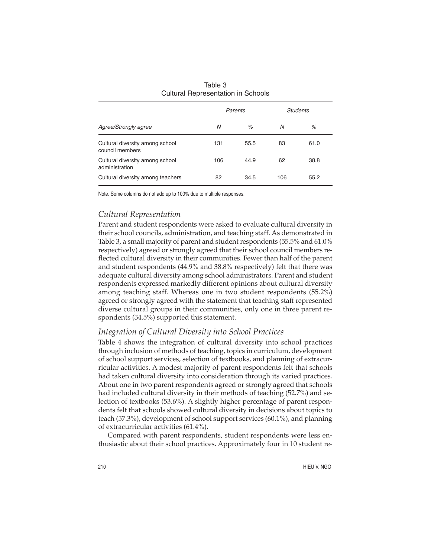|                                                    | Parents |      | Students |      |
|----------------------------------------------------|---------|------|----------|------|
| Agree/Strongly agree                               | N       | $\%$ | Ν        | %    |
| Cultural diversity among school<br>council members | 131     | 55.5 | 83       | 61.0 |
| Cultural diversity among school<br>administration  | 106     | 44.9 | 62       | 38.8 |
| Cultural diversity among teachers                  | 82      | 34.5 | 106      | 55.2 |

| Table 3                                   |  |
|-------------------------------------------|--|
| <b>Cultural Representation in Schools</b> |  |

# *Cultural Representation*

Parent and student respondents were asked to evaluate cultural diversity in their school councils, administration, and teaching staff. As demonstrated in Table 3, a small majority of parent and student respondents (55.5% and 61.0% respectively) agreed or strongly agreed that their school council members reflected cultural diversity in their communities. Fewer than half of the parent and student respondents (44.9% and 38.8% respectively) felt that there was adequate cultural diversity among school administrators. Parent and student respondents expressed markedly different opinions about cultural diversity among teaching staff. Whereas one in two student respondents (55.2%) agreed or strongly agreed with the statement that teaching staff represented diverse cultural groups in their communities, only one in three parent respondents (34.5%) supported this statement.

## *Integration of Cultural Diversity into School Practices*

Table 4 shows the integration of cultural diversity into school practices through inclusion of methods of teaching, topics in curriculum, development of school support services, selection of textbooks, and planning of extracurricular activities. A modest majority of parent respondents felt that schools had taken cultural diversity into consideration through its varied practices. About one in two parent respondents agreed or strongly agreed that schools had included cultural diversity in their methods of teaching (52.7%) and selection of textbooks (53.6%). A slightly higher percentage of parent respondents felt that schools showed cultural diversity in decisions about topics to teach (57.3%), development of school support services (60.1%), and planning of extracurricular activities (61.4%).

Compared with parent respondents, student respondents were less enthusiastic about their school practices. Approximately four in 10 student re-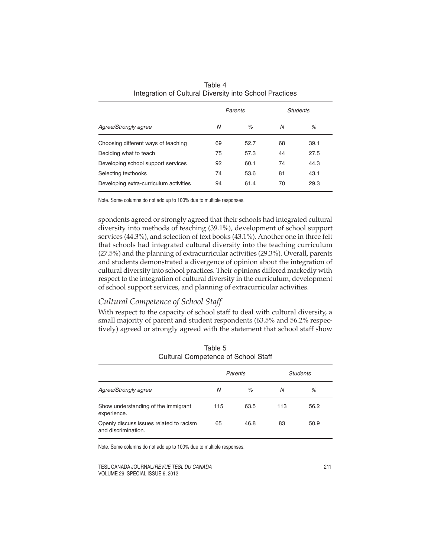|                                        |    | Parents |    | Students |
|----------------------------------------|----|---------|----|----------|
| Agree/Strongly agree                   | N  | $\%$    | N  | %        |
| Choosing different ways of teaching    | 69 | 52.7    | 68 | 39.1     |
| Deciding what to teach                 | 75 | 57.3    | 44 | 27.5     |
| Developing school support services     | 92 | 60.1    | 74 | 44.3     |
| Selecting textbooks                    | 74 | 53.6    | 81 | 43.1     |
| Developing extra-curriculum activities | 94 | 61.4    | 70 | 29.3     |

Table 4 Integration of Cultural Diversity into School Practices

spondents agreed or strongly agreed that their schools had integrated cultural diversity into methods of teaching (39.1%), development of school support services (44.3%), and selection of text books (43.1%). Another one in three felt that schools had integrated cultural diversity into the teaching curriculum (27.5%) and the planning of extracurricular activities (29.3%). Overall, parents and students demonstrated a divergence of opinion about the integration of cultural diversity into school practices. Their opinions differed markedly with respect to the integration of cultural diversity in the curriculum, development of school support services, and planning of extracurricular activities.

# *Cultural Competence of School Staff*

With respect to the capacity of school staff to deal with cultural diversity, a small majority of parent and student respondents (63.5% and 56.2% respectively) agreed or strongly agreed with the statement that school staff show

|                                                                | Parents |      | <b>Students</b> |      |  |
|----------------------------------------------------------------|---------|------|-----------------|------|--|
| Agree/Strongly agree                                           | N       | $\%$ | N               | %    |  |
| Show understanding of the immigrant<br>experience.             | 115     | 63.5 | 113             | 56.2 |  |
| Openly discuss issues related to racism<br>and discrimination. | 65      | 46.8 | 83              | 50.9 |  |

Table 5 Cultural Competence of School Staff

Note. Some columns do not add up to 100% due to multiple responses.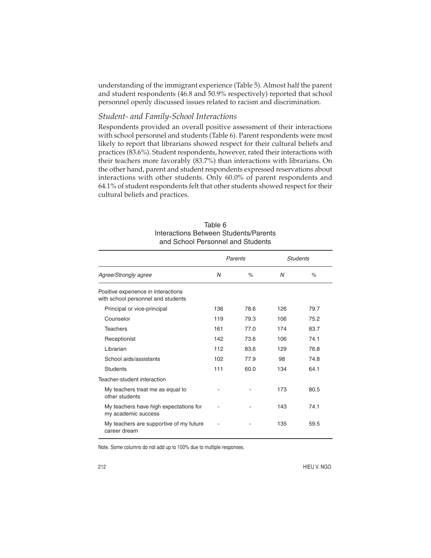understanding of the immigrant experience (Table 5). Almost half the parent and student respondents (46.8 and 50.9% respectively) reported that school personnel openly discussed issues related to racism and discrimination.

# *Student- and Family-School Interactions*

Respondents provided an overall positive assessment of their interactions with school personnel and students (Table 6). Parent respondents were most likely to report that librarians showed respect for their cultural beliefs and practices (83.6%). Student respondents, however, rated their interactions with their teachers more favorably (83.7%) than interactions with librarians. On the other hand, parent and student respondents expressed reservations about interactions with other students. Only 60.0% of parent respondents and 64.1% of student respondents felt that other students showed respect for their cultural beliefs and practices.

| Table 6                               |
|---------------------------------------|
| Interactions Between Students/Parents |
| and School Personnel and Students     |

|                                                                           | Parents |      |              | <b>Students</b> |
|---------------------------------------------------------------------------|---------|------|--------------|-----------------|
| Agree/Strongly agree                                                      | N       | $\%$ | $\mathcal N$ | $\%$            |
| Positive experience in interactions<br>with school personnel and students |         |      |              |                 |
| Principal or vice-principal                                               | 136     | 78.6 | 126          | 79.7            |
| Counselor                                                                 | 119     | 79.3 | 106          | 75.2            |
| <b>Teachers</b>                                                           | 161     | 77.0 | 174          | 83.7            |
| Receptionist                                                              | 142     | 73.6 | 106          | 74.1            |
| Librarian                                                                 | 112     | 83.6 | 129          | 76.8            |
| School aids/assistants                                                    | 102     | 77.9 | 98           | 74.8            |
| <b>Students</b>                                                           | 111     | 60.0 | 134          | 64.1            |
| Teacher-student interaction                                               |         |      |              |                 |
| My teachers treat me as equal to<br>other students                        |         |      | 173          | 80.5            |
| My teachers have high expectations for<br>my academic success             |         |      | 143          | 74.1            |
| My teachers are supportive of my future<br>career dream                   |         |      | 135          | 59.5            |

Note. Some columns do not add up to 100% due to multiple responses.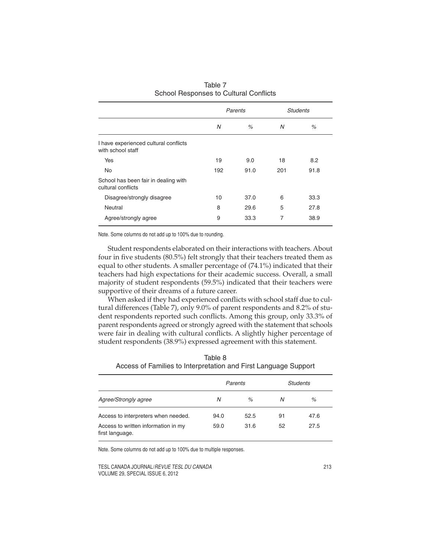|                                                            | Parents |      |                | <b>Students</b> |
|------------------------------------------------------------|---------|------|----------------|-----------------|
|                                                            | N       | %    | N              | %               |
| I have experienced cultural conflicts<br>with school staff |         |      |                |                 |
| <b>Yes</b>                                                 | 19      | 9.0  | 18             | 8.2             |
| <b>No</b>                                                  | 192     | 91.0 | 201            | 91.8            |
| School has been fair in dealing with<br>cultural conflicts |         |      |                |                 |
| Disagree/strongly disagree                                 | 10      | 37.0 | 6              | 33.3            |
| Neutral                                                    | 8       | 29.6 | 5              | 27.8            |
| Agree/strongly agree                                       | 9       | 33.3 | $\overline{7}$ | 38.9            |

Table 7 School Responses to Cultural Conflicts

Note. Some columns do not add up to 100% due to rounding.

Student respondents elaborated on their interactions with teachers. About four in five students (80.5%) felt strongly that their teachers treated them as equal to other students. A smaller percentage of (74.1%) indicated that their teachers had high expectations for their academic success. Overall, a small majority of student respondents (59.5%) indicated that their teachers were supportive of their dreams of a future career.

When asked if they had experienced conflicts with school staff due to cultural differences (Table 7), only 9.0% of parent respondents and 8.2% of student respondents reported such conflicts. Among this group, only 33.3% of parent respondents agreed or strongly agreed with the statement that schools were fair in dealing with cultural conflicts. A slightly higher percentage of student respondents (38.9%) expressed agreement with this statement.

| Necessary and the money of the complete of the complete of the control of the control of the control of the control of the control of the control of the control of the control of the control of the control of the control o |         |      |                 |      |  |  |
|--------------------------------------------------------------------------------------------------------------------------------------------------------------------------------------------------------------------------------|---------|------|-----------------|------|--|--|
|                                                                                                                                                                                                                                | Parents |      | <b>Students</b> |      |  |  |
| Agree/Strongly agree                                                                                                                                                                                                           | N       | $\%$ | N               | %    |  |  |
| Access to interpreters when needed.                                                                                                                                                                                            | 94.0    | 52.5 | 91              | 47.6 |  |  |
| Access to written information in my<br>first language.                                                                                                                                                                         | 59.0    | 31.6 | 52              | 27.5 |  |  |

Table 8 Access of Families to Interpretation and First Language Support

Note. Some columns do not add up to 100% due to multiple responses.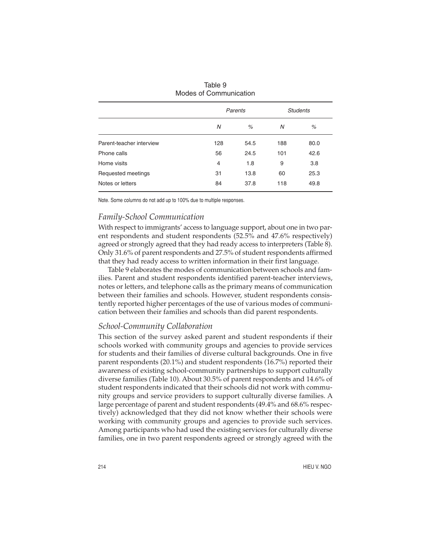|                          |     | Parents |     | <b>Students</b> |
|--------------------------|-----|---------|-----|-----------------|
|                          | N   | %       | N   | %               |
| Parent-teacher interview | 128 | 54.5    | 188 | 80.0            |
| Phone calls              | 56  | 24.5    | 101 | 42.6            |
| Home visits              | 4   | 1.8     | 9   | 3.8             |
| Requested meetings       | 31  | 13.8    | 60  | 25.3            |
| Notes or letters         | 84  | 37.8    | 118 | 49.8            |
|                          |     |         |     |                 |

| Table 9                |
|------------------------|
| Modes of Communication |

# *Family-School Communication*

With respect to immigrants' access to language support, about one in two parent respondents and student respondents (52.5% and 47.6% respectively) agreed or strongly agreed that they had ready access to interpreters (Table 8). Only 31.6% of parent respondents and 27.5% of student respondents affirmed that they had ready access to written information in their first language.

Table 9 elaborates the modes of communication between schools and families. Parent and student respondents identified parent-teacher interviews, notes or letters, and telephone calls as the primary means of communication between their families and schools. However, student respondents consistently reported higher percentages of the use of various modes of communication between their families and schools than did parent respondents.

#### *School-Community Collaboration*

This section of the survey asked parent and student respondents if their schools worked with community groups and agencies to provide services for students and their families of diverse cultural backgrounds. One in five parent respondents (20.1%) and student respondents (16.7%) reported their awareness of existing school-community partnerships to support culturally diverse families (Table 10). About 30.5% of parent respondents and 14.6% of student respondents indicated that their schools did not work with community groups and service providers to support culturally diverse families. A large percentage of parent and student respondents (49.4% and 68.6% respectively) acknowledged that they did not know whether their schools were working with community groups and agencies to provide such services. Among participants who had used the existing services for culturally diverse families, one in two parent respondents agreed or strongly agreed with the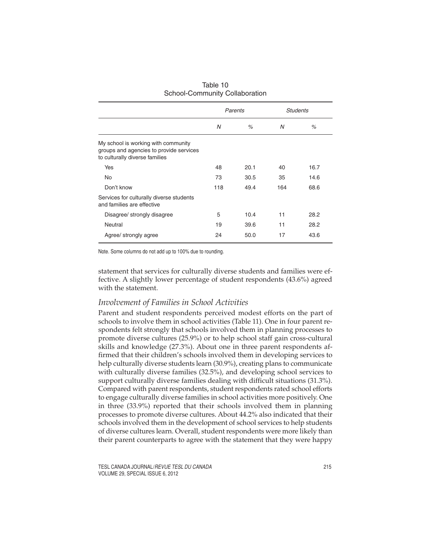|                                                                                                                  | Parents |      | <b>Students</b> |      |
|------------------------------------------------------------------------------------------------------------------|---------|------|-----------------|------|
|                                                                                                                  | N       | %    | N               | %    |
| My school is working with community<br>groups and agencies to provide services<br>to culturally diverse families |         |      |                 |      |
| Yes                                                                                                              | 48      | 20.1 | 40              | 16.7 |
| <b>No</b>                                                                                                        | 73      | 30.5 | 35              | 14.6 |
| Don't know                                                                                                       | 118     | 49.4 | 164             | 68.6 |
| Services for culturally diverse students<br>and families are effective                                           |         |      |                 |      |
| Disagree/ strongly disagree                                                                                      | 5       | 10.4 | 11              | 28.2 |
| Neutral                                                                                                          | 19      | 39.6 | 11              | 28.2 |
| Agree/ strongly agree                                                                                            | 24      | 50.0 | 17              | 43.6 |

| Table 10                       |
|--------------------------------|
| School-Community Collaboration |

Note. Some columns do not add up to 100% due to rounding.

statement that services for culturally diverse students and families were effective. A slightly lower percentage of student respondents (43.6%) agreed with the statement.

## *Involvement of Families in School Activities*

Parent and student respondents perceived modest efforts on the part of schools to involve them in school activities (Table 11). One in four parent respondents felt strongly that schools involved them in planning processes to promote diverse cultures (25.9%) or to help school staff gain cross-cultural skills and knowledge (27.3%). About one in three parent respondents affirmed that their children's schools involved them in developing services to help culturally diverse students learn (30.9%), creating plans to communicate with culturally diverse families (32.5%), and developing school services to support culturally diverse families dealing with difficult situations (31.3%). Compared with parent respondents, student respondents rated school efforts to engage culturally diverse families in school activities more positively. One in three (33.9%) reported that their schools involved them in planning processes to promote diverse cultures. About 44.2% also indicated that their schools involved them in the development of school services to help students of diverse cultures learn. Overall, student respondents were more likely than their parent counterparts to agree with the statement that they were happy

TESL CANADA JOURNAL/REVUE TESL DU CANADA 215 VOLUME 29, SPECIAL ISSUE 6, 2012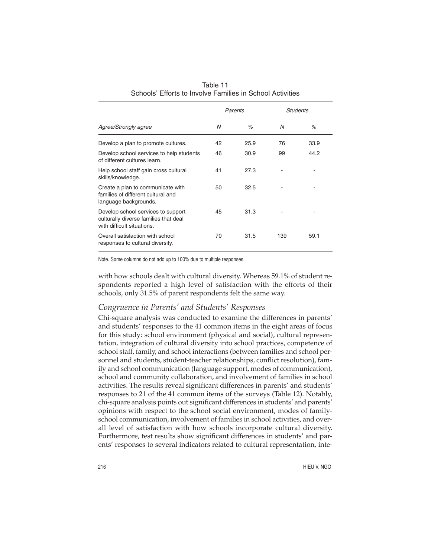|                                                                                                           |    | Parents |     | Students |
|-----------------------------------------------------------------------------------------------------------|----|---------|-----|----------|
| Agree/Strongly agree                                                                                      | N  | %       | N   | %        |
| Develop a plan to promote cultures.                                                                       | 42 | 25.9    | 76  | 33.9     |
| Develop school services to help students<br>of different cultures learn.                                  | 46 | 30.9    | 99  | 44.2     |
| Help school staff gain cross cultural<br>skills/knowledge.                                                | 41 | 27.3    |     |          |
| Create a plan to communicate with<br>families of different cultural and<br>language backgrounds.          | 50 | 32.5    |     |          |
| Develop school services to support<br>culturally diverse families that deal<br>with difficult situations. | 45 | 31.3    |     |          |
| Overall satisfaction with school<br>responses to cultural diversity.                                      | 70 | 31.5    | 139 | 59.1     |

Table 11 Schools' Efforts to Involve Families in School Activities

with how schools dealt with cultural diversity. Whereas 59.1% of student respondents reported a high level of satisfaction with the efforts of their schools, only 31.5% of parent respondents felt the same way.

# *Congruence in Parents' and Students' Responses*

Chi-square analysis was conducted to examine the differences in parents' and students' responses to the 41 common items in the eight areas of focus for this study: school environment (physical and social), cultural representation, integration of cultural diversity into school practices, competence of school staff, family, and school interactions (between families and school personnel and students, student-teacher relationships, conflict resolution), family and school communication (language support, modes of communication), school and community collaboration, and involvement of families in school activities. The results reveal significant differences in parents' and students' responses to 21 of the 41 common items of the surveys (Table 12). Notably, chi-square analysis points out significant differences in students' and parents' opinions with respect to the school social environment, modes of familyschool communication, involvement of families in school activities, and overall level of satisfaction with how schools incorporate cultural diversity. Furthermore, test results show significant differences in students' and parents' responses to several indicators related to cultural representation, inte-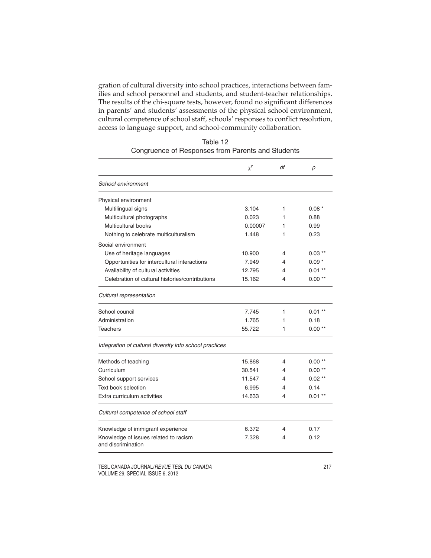gration of cultural diversity into school practices, interactions between families and school personnel and students, and student-teacher relationships. The results of the chi-square tests, however, found no significant differences in parents' and students' assessments of the physical school environment, cultural competence of school staff, schools' responses to conflict resolution, access to language support, and school-community collaboration.

|                                                             | $\chi^2$ | df | р         |
|-------------------------------------------------------------|----------|----|-----------|
| School environment                                          |          |    |           |
| Physical environment                                        |          |    |           |
| Multilingual signs                                          | 3.104    | 1  | $0.08*$   |
| Multicultural photographs                                   | 0.023    | 1  | 0.88      |
| Multicultural books                                         | 0.00007  | 1  | 0.99      |
| Nothing to celebrate multiculturalism                       | 1.448    | 1  | 0.23      |
| Social environment                                          |          |    |           |
| Use of heritage languages                                   | 10.900   | 4  | $0.03***$ |
| Opportunities for intercultural interactions                | 7.949    | 4  | $0.09*$   |
| Availability of cultural activities                         | 12.795   | 4  | $0.01***$ |
| Celebration of cultural histories/contributions             | 15.162   | 4  | $0.00**$  |
| Cultural representation                                     |          |    |           |
| School council                                              | 7.745    | 1  | $0.01***$ |
| Administration                                              | 1.765    | 1  | 0.18      |
| Teachers                                                    | 55.722   | 1  | $0.00**$  |
| Integration of cultural diversity into school practices     |          |    |           |
| Methods of teaching                                         | 15.868   | 4  | $0.00**$  |
| Curriculum                                                  | 30.541   | 4  | $0.00**$  |
| School support services                                     | 11.547   | 4  | $0.02**$  |
| Text book selection                                         | 6.995    | 4  | 0.14      |
| Extra curriculum activities                                 | 14.633   | 4  | $0.01***$ |
| Cultural competence of school staff                         |          |    |           |
| Knowledge of immigrant experience                           | 6.372    | 4  | 0.17      |
| Knowledge of issues related to racism<br>and discrimination | 7.328    | 4  | 0.12      |

| Table 12                                          |  |  |
|---------------------------------------------------|--|--|
| Congruence of Responses from Parents and Students |  |  |

TESL CANADA JOURNAL/REVUE TESL DU CANADA 217 VOLUME 29, SPECIAL ISSUE 6, 2012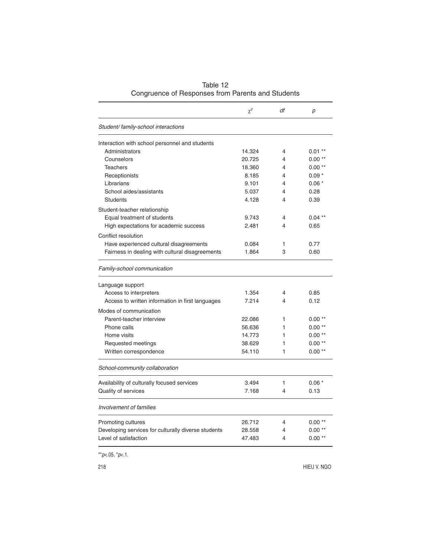|                                                     | $\chi^2$ | df | p         |
|-----------------------------------------------------|----------|----|-----------|
| Student/family-school interactions                  |          |    |           |
| Interaction with school personnel and students      |          |    |           |
| Administrators                                      | 14.324   | 4  | $0.01**$  |
| Counselors                                          | 20.725   | 4  | $0.00**$  |
| <b>Teachers</b>                                     | 18.360   | 4  | $0.00**$  |
| Receptionists                                       | 8.185    | 4  | $0.09*$   |
| Librarians                                          | 9.101    | 4  | $0.06*$   |
| School aides/assistants                             | 5.037    | 4  | 0.28      |
| <b>Students</b>                                     | 4.128    | 4  | 0.39      |
| Student-teacher relationship                        |          |    |           |
| Equal treatment of students                         | 9.743    | 4  | $0.04***$ |
| High expectations for academic success              | 2.481    | 4  | 0.65      |
| Conflict resolution                                 |          |    |           |
| Have experienced cultural disagreements             | 0.084    | 1  | 0.77      |
| Fairness in dealing with cultural disagreements     | 1.864    | 3  | 0.60      |
| Family-school communication                         |          |    |           |
| Language support                                    |          |    |           |
| Access to interpreters                              | 1.354    | 4  | 0.85      |
| Access to written information in first languages    | 7.214    | 4  | 0.12      |
| Modes of communication                              |          |    |           |
| Parent-teacher interview                            | 22.086   | 1  | $0.00**$  |
| Phone calls                                         | 56.636   | 1  | $0.00**$  |
| Home visits                                         | 14.773   | 1  | $0.00**$  |
| Requested meetings                                  | 38.629   | 1  | $0.00**$  |
| Written correspondence                              | 54.110   | 1  | $0.00**$  |
| School-community collaboration                      |          |    |           |
| Availability of culturally focused services         | 3.494    | 1  | $0.06*$   |
| Quality of services                                 | 7.168    | 4  | 0.13      |
| Involvement of families                             |          |    |           |
| Promoting cultures                                  | 26.712   | 4  | $0.00**$  |
| Developing services for culturally diverse students | 28.558   | 4  | $0.00**$  |
| Level of satisfaction                               | 47.483   | 4  | $0.00**$  |
|                                                     |          |    |           |

Table 12 Congruence of Responses from Parents and Students

\*\* $p<.05$ , \* $p<.1$ .

218 HIEU V. NGO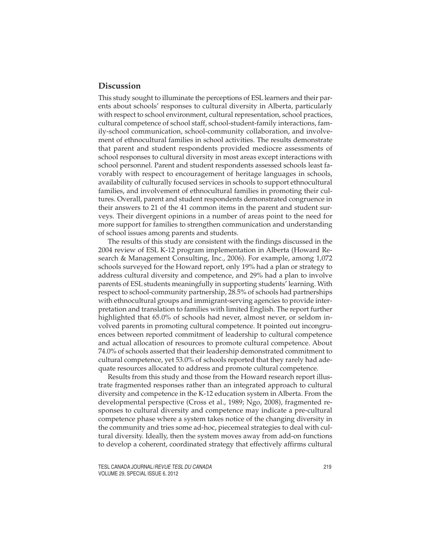# **Discussion**

This study sought to illuminate the perceptions of ESL learners and their parents about schools' responses to cultural diversity in Alberta, particularly with respect to school environment, cultural representation, school practices, cultural competence of school staff, school-student-family interactions, family-school communication, school-community collaboration, and involvement of ethnocultural families in school activities. The results demonstrate that parent and student respondents provided mediocre assessments of school responses to cultural diversity in most areas except interactions with school personnel. Parent and student respondents assessed schools least favorably with respect to encouragement of heritage languages in schools, availability of culturally focused services in schools to support ethnocultural families, and involvement of ethnocultural families in promoting their cultures. Overall, parent and student respondents demonstrated congruence in their answers to 21 of the 41 common items in the parent and student surveys. Their divergent opinions in a number of areas point to the need for more support for families to strengthen communication and understanding of school issues among parents and students.

The results of this study are consistent with the findings discussed in the 2004 review of ESL K-12 program implementation in Alberta (Howard Research & Management Consulting, Inc., 2006). For example, among 1,072 schools surveyed for the Howard report, only 19% had a plan or strategy to address cultural diversity and competence, and 29% had a plan to involve parents of ESL students meaningfully in supporting students' learning. With respect to school-community partnership, 28.5% of schools had partnerships with ethnocultural groups and immigrant-serving agencies to provide interpretation and translation to families with limited English. The report further highlighted that 65.0% of schools had never, almost never, or seldom involved parents in promoting cultural competence. It pointed out incongruences between reported commitment of leadership to cultural competence and actual allocation of resources to promote cultural competence. About 74.0% of schools asserted that their leadership demonstrated commitment to cultural competence, yet 53.0% of schools reported that they rarely had adequate resources allocated to address and promote cultural competence.

Results from this study and those from the Howard research report illustrate fragmented responses rather than an integrated approach to cultural diversity and competence in the K-12 education system in Alberta. From the developmental perspective (Cross et al., 1989; Ngo, 2008), fragmented responses to cultural diversity and competence may indicate a pre-cultural competence phase where a system takes notice of the changing diversity in the community and tries some ad-hoc, piecemeal strategies to deal with cultural diversity. Ideally, then the system moves away from add-on functions to develop a coherent, coordinated strategy that effectively affirms cultural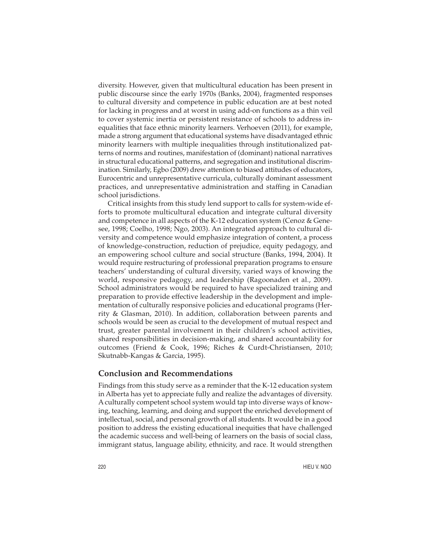diversity. However, given that multicultural education has been present in public discourse since the early 1970s (Banks, 2004), fragmented responses to cultural diversity and competence in public education are at best noted for lacking in progress and at worst in using add-on functions as a thin veil to cover systemic inertia or persistent resistance of schools to address inequalities that face ethnic minority learners. Verhoeven (2011), for example, made a strong argument that educational systems have disadvantaged ethnic minority learners with multiple inequalities through institutionalized patterns of norms and routines, manifestation of (dominant) national narratives in structural educational patterns, and segregation and institutional discrimination. Similarly, Egbo (2009) drew attention to biased attitudes of educators, Eurocentric and unrepresentative curricula, culturally dominant assessment practices, and unrepresentative administration and staffing in Canadian school jurisdictions.

Critical insights from this study lend support to calls for system-wide efforts to promote multicultural education and integrate cultural diversity and competence in all aspects of the K-12 education system (Cenoz & Genesee, 1998; Coelho, 1998; Ngo, 2003). An integrated approach to cultural diversity and competence would emphasize integration of content, a process of knowledge-construction, reduction of prejudice, equity pedagogy, and an empowering school culture and social structure (Banks, 1994, 2004). It would require restructuring of professional preparation programs to ensure teachers' understanding of cultural diversity, varied ways of knowing the world, responsive pedagogy, and leadership (Ragoonaden et al., 2009). School administrators would be required to have specialized training and preparation to provide effective leadership in the development and implementation of culturally responsive policies and educational programs (Herrity & Glasman, 2010). In addition, collaboration between parents and schools would be seen as crucial to the development of mutual respect and trust, greater parental involvement in their children's school activities, shared responsibilities in decision-making, and shared accountability for outcomes (Friend & Cook, 1996; Riches & Curdt-Christiansen, 2010; Skutnabb-Kangas & Garcia, 1995).

#### **Conclusion and Recommendations**

Findings from this study serve as a reminder that the K-12 education system in Alberta has yet to appreciate fully and realize the advantages of diversity. A culturally competent school system would tap into diverse ways of knowing, teaching, learning, and doing and support the enriched development of intellectual, social, and personal growth of all students. It would be in a good position to address the existing educational inequities that have challenged the academic success and well-being of learners on the basis of social class, immigrant status, language ability, ethnicity, and race. It would strengthen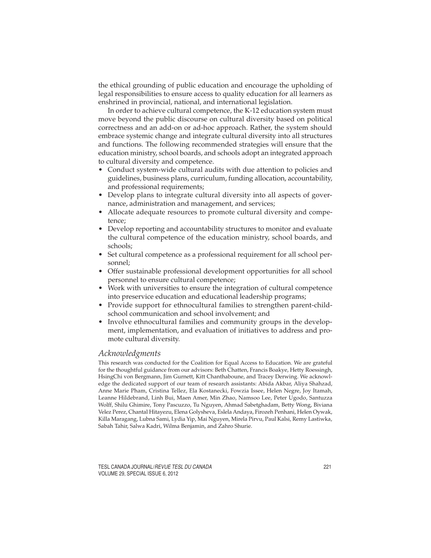the ethical grounding of public education and encourage the upholding of legal responsibilities to ensure access to quality education for all learners as enshrined in provincial, national, and international legislation.

In order to achieve cultural competence, the K-12 education system must move beyond the public discourse on cultural diversity based on political correctness and an add-on or ad-hoc approach. Rather, the system should embrace systemic change and integrate cultural diversity into all structures and functions. The following recommended strategies will ensure that the education ministry, school boards, and schools adopt an integrated approach to cultural diversity and competence.

- Conduct system-wide cultural audits with due attention to policies and guidelines, business plans, curriculum, funding allocation, accountability, and professional requirements;
- Develop plans to integrate cultural diversity into all aspects of governance, administration and management, and services;
- Allocate adequate resources to promote cultural diversity and competence;
- Develop reporting and accountability structures to monitor and evaluate the cultural competence of the education ministry, school boards, and schools;
- Set cultural competence as a professional requirement for all school personnel;
- Offer sustainable professional development opportunities for all school personnel to ensure cultural competence;
- Work with universities to ensure the integration of cultural competence into preservice education and educational leadership programs;
- Provide support for ethnocultural families to strengthen parent-childschool communication and school involvement; and
- Involve ethnocultural families and community groups in the development, implementation, and evaluation of initiatives to address and promote cultural diversity.

### *Acknowledgments*

This research was conducted for the Coalition for Equal Access to Education. We are grateful for the thoughtful guidance from our advisors: Beth Chatten, Francis Boakye, Hetty Roessingh, HsingChi von Bergmann, Jim Gurnett, Kitt Chanthaboune, and Tracey Derwing. We acknowledge the dedicated support of our team of research assistants: Abida Akbar, Aliya Shahzad, Anne Marie Pham, Cristina Tellez, Ela Kostanecki, Fowzia Issee, Helen Negre, Joy Itamah, Leanne Hildebrand, Linh Bui, Maen Amer, Min Zhao, Namsoo Lee, Peter Ugodo, Santuzza Wolff, Shilu Ghimire, Tony Pascuzzo, Tu Nguyen, Ahmad Sabetghadam, Betty Wong, Biviana Velez Perez, Chantal Hitayezu, Elena Golysheva, Eslela Andaya, Firozeh Penhani, Helen Oywak, Killa Maragang, Lubna Sami, Lydia Yip, Mai Nguyen, Mirela Pirvu, Paul Kalsi, Remy Lastiwka, Sabah Tahir, Salwa Kadri, Wilma Benjamin, and Zahro Shurie.

TESL CANADA JOURNAL/REVUE TESL DU CANADA 221 VOLUME 29, SPECIAL ISSUE 6, 2012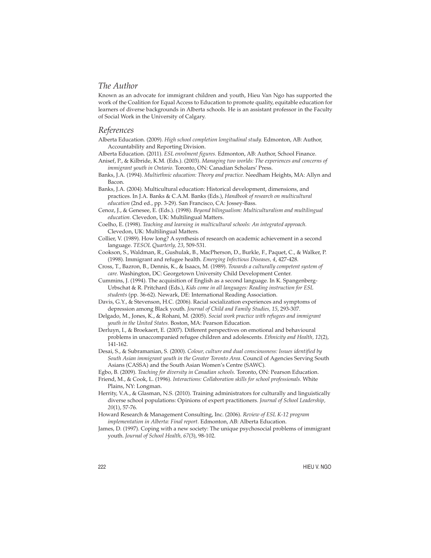## *The Author*

Known as an advocate for immigrant children and youth, Hieu Van Ngo has supported the work of the Coalition for Equal Access to Education to promote quality, equitable education for learners of diverse backgrounds in Alberta schools. He is an assistant professor in the Faculty of Social Work in the University of Calgary.

#### *References*

Alberta Education. (2009). *High school completion longitudinal study.* Edmonton, AB: Author, Accountability and Reporting Division.

Alberta Education. (2011). *ESL enrolment figures.* Edmonton, AB: Author, School Finance.

Anisef, P., & Kilbride, K.M. (Eds.). (2003). *Managing two worlds: The experiences and concerns of immigrant youth in Ontario.* Toronto, ON: Canadian Scholars' Press.

Banks, J.A. (1994). *Multiethnic education: Theory and practice.* Needham Heights, MA: Allyn and Bacon.

Banks, J.A. (2004). Multicultural education: Historical development, dimensions, and practices. In J.A. Banks & C.A.M. Banks (Eds.), *Handbook of research on multicultural education* (2nd ed., pp. 3-29). San Francisco, CA: Jossey-Bass.

Cenoz, J., & Genesee, E. (Eds.). (1998). *Beyond bilingualism: Multiculturalism and multilingual education.* Clevedon, UK: Multilingual Matters.

Coelho, E. (1998). *Teaching and learning in multicultural schools: An integrated approach.* Clevedon, UK: Multilingual Matters.

Collier, V. (1989). How long? A synthesis of research on academic achievement in a second language. *TESOL Quarterly, 23*, 509-531.

Cookson, S., Waldman, R., Gushulak, B., MacPherson, D., Burkle, F., Paquet, C., & Walker, P. (1998). Immigrant and refugee health. *Emerging Infectious Diseases, 4*, 427-428.

Cross, T., Bazron, B., Dennis, K., & Isaacs, M. (1989). *Towards a culturally competent system of care.* Washington, DC: Georgetown University Child Development Center.

Cummins, J. (1994). The acquisition of English as a second language. In K. Spangenberg-Urbschat & R. Pritchard (Eds.), *Kids come in all languages: Reading instruction for ESL students* (pp. 36-62). Newark, DE: International Reading Association.

- Davis, G.Y., & Stevenson, H.C. (2006). Racial socialization experiences and symptoms of depression among Black youth. *Journal of Child and Family Studies, 15*, 293-307.
- Delgado, M., Jones, K., & Rohani, M. (2005). *Social work practice with refugees and immigrant youth in the United States.* Boston, MA: Pearson Education.
- Derluyn, I., & Broekaert, E. (2007). Different perspectives on emotional and behavioural problems in unaccompanied refugee children and adolescents. *Ethnicity and Health, 12*(2), 141-162.

Desai, S., & Subramanian, S. (2000). *Colour, culture and dual consciousness: Issues identified by South Asian immigrant youth in the Greater Toronto Area*. Council of Agencies Serving South Asians (CASSA) and the South Asian Women's Centre (SAWC).

- Egbo, B. (2009). *Teaching for diversity in Canadian schools.* Toronto, ON: Pearson Education.
- Friend, M., & Cook, L. (1996). *Interactions: Collaboration skills for school professionals*. White Plains, NY: Longman.
- Herrity, V.A., & Glasman, N.S. (2010). Training administrators for culturally and linguistically diverse school populations: Opinions of expert practitioners. *Journal of School Leadership, 20*(1), 57-76.

Howard Research & Management Consulting, Inc. (2006). *Review of ESL K-12 program implementation in Alberta: Final report.* Edmonton, AB: Alberta Education.

James, D. (1997). Coping with a new society: The unique psychosocial problems of immigrant youth. *Journal of School Health, 67*(3), 98-102.